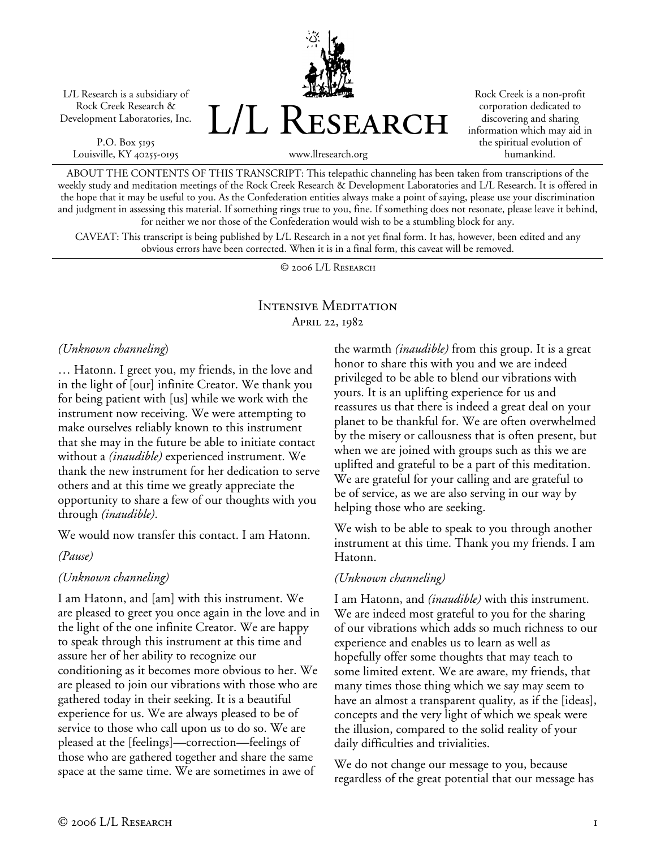L/L Research is a subsidiary of Rock Creek Research & Development Laboratories, Inc.

P.O. Box 5195 Louisville, KY 40255-0195 L/L Research

Rock Creek is a non-profit corporation dedicated to discovering and sharing information which may aid in the spiritual evolution of humankind.

www.llresearch.org

ABOUT THE CONTENTS OF THIS TRANSCRIPT: This telepathic channeling has been taken from transcriptions of the weekly study and meditation meetings of the Rock Creek Research & Development Laboratories and L/L Research. It is offered in the hope that it may be useful to you. As the Confederation entities always make a point of saying, please use your discrimination and judgment in assessing this material. If something rings true to you, fine. If something does not resonate, please leave it behind, for neither we nor those of the Confederation would wish to be a stumbling block for any.

CAVEAT: This transcript is being published by L/L Research in a not yet final form. It has, however, been edited and any obvious errors have been corrected. When it is in a final form, this caveat will be removed.

© 2006 L/L Research

# Intensive Meditation April 22, 1982

#### *(Unknown channeling*)

… Hatonn. I greet you, my friends, in the love and in the light of [our] infinite Creator. We thank you for being patient with [us] while we work with the instrument now receiving. We were attempting to make ourselves reliably known to this instrument that she may in the future be able to initiate contact without a *(inaudible)* experienced instrument. We thank the new instrument for her dedication to serve others and at this time we greatly appreciate the opportunity to share a few of our thoughts with you through *(inaudible)*.

We would now transfer this contact. I am Hatonn.

### *(Pause)*

### *(Unknown channeling)*

I am Hatonn, and [am] with this instrument. We are pleased to greet you once again in the love and in the light of the one infinite Creator. We are happy to speak through this instrument at this time and assure her of her ability to recognize our conditioning as it becomes more obvious to her. We are pleased to join our vibrations with those who are gathered today in their seeking. It is a beautiful experience for us. We are always pleased to be of service to those who call upon us to do so. We are pleased at the [feelings]—correction—feelings of those who are gathered together and share the same space at the same time. We are sometimes in awe of

the warmth *(inaudible)* from this group. It is a great honor to share this with you and we are indeed privileged to be able to blend our vibrations with yours. It is an uplifting experience for us and reassures us that there is indeed a great deal on your planet to be thankful for. We are often overwhelmed by the misery or callousness that is often present, but when we are joined with groups such as this we are uplifted and grateful to be a part of this meditation. We are grateful for your calling and are grateful to be of service, as we are also serving in our way by helping those who are seeking.

We wish to be able to speak to you through another instrument at this time. Thank you my friends. I am Hatonn.

## *(Unknown channeling)*

I am Hatonn, and *(inaudible)* with this instrument. We are indeed most grateful to you for the sharing of our vibrations which adds so much richness to our experience and enables us to learn as well as hopefully offer some thoughts that may teach to some limited extent. We are aware, my friends, that many times those thing which we say may seem to have an almost a transparent quality, as if the [ideas], concepts and the very light of which we speak were the illusion, compared to the solid reality of your daily difficulties and trivialities.

We do not change our message to you, because regardless of the great potential that our message has